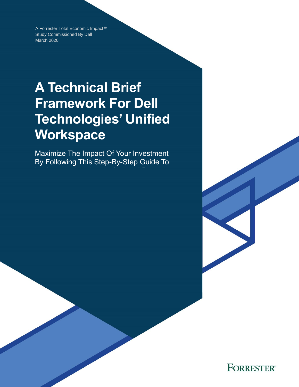A Forrester Total Economic Impact™ Study Commissioned By Dell March 2020

# **A Technical Brief Framework For Dell Technologies' Unified Workspace**

Maximize The Impact Of Your Investment By Following This Step-By-Step Guide To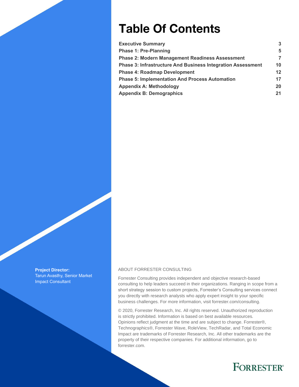# **Table Of Contents**

| <b>Executive Summary</b>                                           | 3  |
|--------------------------------------------------------------------|----|
| Phase 1: Pre-Planning                                              | 5  |
| <b>Phase 2: Modern Management Readiness Assessment</b>             | 7  |
| <b>Phase 3: Infrastructure And Business Integration Assessment</b> | 10 |
| <b>Phase 4: Roadmap Development</b>                                | 12 |
| <b>Phase 5: Implementation And Process Automation</b>              | 17 |
| <b>Appendix A: Methodology</b>                                     | 20 |
| <b>Appendix B: Demographics</b>                                    | 21 |
|                                                                    |    |

**Project Director:** Tarun Avasthy, Senior Market Impact Consultant

#### ABOUT FORRESTER CONSULTING

Forrester Consulting provides independent and objective research-based consulting to help leaders succeed in their organizations. Ranging in scope from a short strategy session to custom projects, Forrester's Consulting services connect you directly with research analysts who apply expert insight to your specific business challenges. For more information, visit forrester.com/consulting.

© 2020, Forrester Research, Inc. All rights reserved. Unauthorized reproduction is strictly prohibited. Information is based on best available resources. Opinions reflect judgment at the time and are subject to change. Forrester®, Technographics®, Forrester Wave, RoleView, TechRadar, and Total Economic Impact are trademarks of Forrester Research, Inc. All other trademarks are the property of their respective companies. For additional information, go to forrester.com.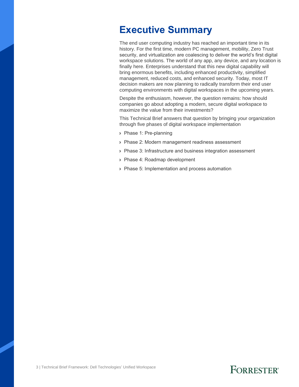### <span id="page-2-0"></span>**Executive Summary**

The end user computing industry has reached an important time in its history. For the first time, modern PC management, mobility, Zero Trust security, and virtualization are coalescing to deliver the world's first digital workspace solutions. The world of any app, any device, and any location is finally here. Enterprises understand that this new digital capability will bring enormous benefits, including enhanced productivity, simplified management, reduced costs, and enhanced security. Today, most IT decision makers are now planning to radically transform their end user computing environments with digital workspaces in the upcoming years.

Despite the enthusiasm, however, the question remains: how should companies go about adopting a modern, secure digital workspace to maximize the value from their investments?

This Technical Brief answers that question by bringing your organization through five phases of digital workspace implementation

- › Phase 1: Pre-planning
- › Phase 2: Modern management readiness assessment
- › Phase 3: Infrastructure and business integration assessment
- › Phase 4: Roadmap development
- › Phase 5: Implementation and process automation

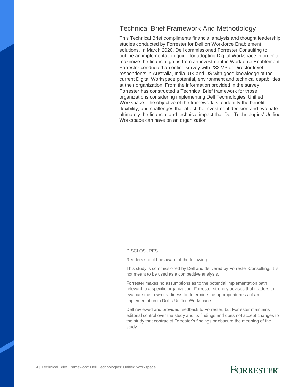### Technical Brief Framework And Methodology

This Technical Brief compliments financial analysis and thought leadership studies conducted by Forrester for Dell on Workforce Enablement solutions. In March 2020, Dell commissioned Forrester Consulting to outline an implementation guide for adopting Digital Workspace in order to maximize the financial gains from an investment in Workforce Enablement. Forrester conducted an online survey with 232 VP or Director level respondents in Australia, India, UK and US with good knowledge of the current Digital Workspace potential, environment and technical capabilities at their organization. From the information provided in the survey, Forrester has constructed a Technical Brief framework for those organizations considering implementing Dell Technologies' Unified Workspace. The objective of the framework is to identify the benefit, flexibility, and challenges that affect the investment decision and evaluate ultimately the financial and technical impact that Dell Technologies' Unified Workspace can have on an organization

#### DISCLOSURES

.

Readers should be aware of the following:

This study is commissioned by Dell and delivered by Forrester Consulting. It is not meant to be used as a competitive analysis.

Forrester makes no assumptions as to the potential implementation path relevant to a specific organization. Forrester strongly advises that readers to evaluate their own readiness to determine the appropriateness of an implementation in Dell's Unified Workspace.

Dell reviewed and provided feedback to Forrester, but Forrester maintains editorial control over the study and its findings and does not accept changes to the study that contradict Forrester's findings or obscure the meaning of the study.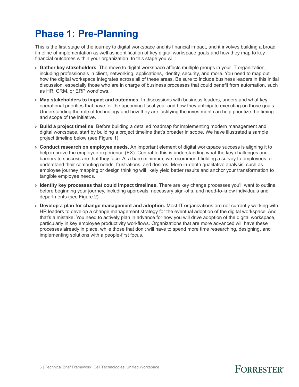## <span id="page-4-0"></span>**Phase 1: Pre-Planning**

This is the first stage of the journey to digital workspace and its financial impact, and it involves building a broad timeline of implementation as well as identification of key digital workspace goals and how they map to key financial outcomes within your organization. In this stage you will:

- › **Gather key stakeholders**. The move to digital workspace affects multiple groups in your IT organization, including professionals in client, networking, applications, identity, security, and more. You need to map out how the digital workspace integrates across all of these areas. Be sure to include business leaders in this initial discussion, especially those who are in charge of business processes that could benefit from automation, such as HR, CRM, or ERP workflows.
- › **Map stakeholders to impact and outcomes.** In discussions with business leaders, understand what key operational priorities that have for the upcoming fiscal year and how they anticipate executing on those goals. Understanding the role of technology and how they are justifying the investment can help prioritize the timing and scope of the initiative.
- › **Build a project timeline**. Before building a detailed roadmap for implementing modern management and digital workspace, start by building a project timeline that's broader in scope. We have illustrated a sample project timeline below (see Figure 1).
- › **Conduct research on employee needs.** An important element of digital workspace success is aligning it to help improve the employee experience (EX). Central to this is understanding what the key challenges and barriers to success are that they face. At a bare minimum, we recommend fielding a survey to employees to understand their computing needs, frustrations, and desires. More in-depth qualitative analysis, such as employee journey mapping or design thinking will likely yield better results and anchor your transformation to tangible employee needs.
- › **Identity key processes that could impact timelines.** There are key change processes you'll want to outline before beginning your journey, including approvals, necessary sign-offs, and need-to-know individuals and departments (see Figure 2).
- › **Develop a plan for change management and adoption.** Most IT organizations are not currently working with HR leaders to develop a change management strategy for the eventual adoption of the digital workspace. And that's a mistake. You need to actively plan in advance for how you will drive adoption of the digital workspace, particularly in key employee productivity workflows. Organizations that are more advanced will have these processes already in place, while those that don't will have to spend more time researching, designing, and implementing solutions with a people-first focus.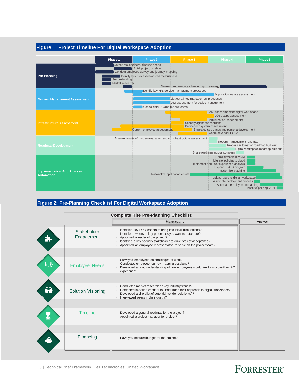#### **Figure 1: Project Timeline For Digital Workspace Adoption**



#### **Figure 2: Pre-Planning Checklist For Digital Workspace Adoption**

|                   | <b>Complete The Pre-Planning Checklist</b> |                                                                                                                                                                                                                                                                                                             |        |  |  |  |
|-------------------|--------------------------------------------|-------------------------------------------------------------------------------------------------------------------------------------------------------------------------------------------------------------------------------------------------------------------------------------------------------------|--------|--|--|--|
|                   |                                            | Have you                                                                                                                                                                                                                                                                                                    | Answer |  |  |  |
|                   | <b>Stakeholder</b><br>Engagement           | Identified key LOB leaders to bring into initial discussions?<br>Identified owners of key processes you want to automate?<br>Appointed a leader of the project?<br>Identified a key security stakeholder to drive project acceptance?<br>Appointed an employee representative to serve on the project team? |        |  |  |  |
| 一                 | <b>Employee Needs</b>                      | Surveyed employees on challenges at work?<br>Conducted employee journey mapping sessions?<br>Developed a good understanding of how employees would like to improve their PC<br>experience?                                                                                                                  |        |  |  |  |
| $\curvearrowleft$ | <b>Solution Visioning</b>                  | Conducted market research on key industry trends?<br>Contacted in-house vendors to understand their approach to digital workspace?<br>Developed a short list of potential vendor solution(s)?<br>Interviewed peers in the industry?                                                                         |        |  |  |  |
|                   | <b>Timeline</b>                            | Developed a general roadmap for the project?<br>٠<br>Appointed a project manager for project?                                                                                                                                                                                                               |        |  |  |  |
|                   | Financing                                  | Have you secured budget for the project?<br>$\sim$                                                                                                                                                                                                                                                          |        |  |  |  |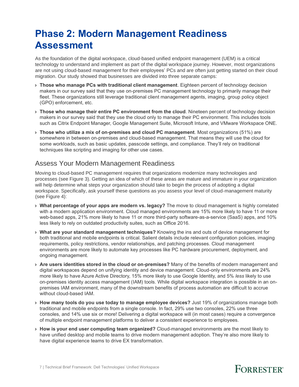## <span id="page-6-0"></span>**Phase 2: Modern Management Readiness Assessment**

As the foundation of the digital workspace, cloud-based unified endpoint management (UEM) is a critical technology to understand and implement as part of the digital workspace journey. However, most organizations are not using cloud-based management for their employees' PCs and are often just getting started on their cloud migration. Our study showed that businesses are divided into three separate camps:

- › **Those who manage PCs with traditional client management**. Eighteen percent of technology decision makers in our survey said that they use on-premises PC management technology to primarily manage their fleet. These organizations still leverage traditional client management agents, imaging, group policy object (GPO) enforcement, etc.
- › **Those who manage their entire PC environment from the cloud**. Nineteen percent of technology decision makers in our survey said that they use the cloud only to manage their PC environment. This includes tools such as Citrix Endpoint Manager, Google Management Suite, Microsoft Intune, and VMware Workspace ONE.
- › **Those who utilize a mix of on-premises and cloud PC management**. Most organizations (51%) are somewhere in between on-premises and cloud-based management. That means they will use the cloud for some workloads, such as basic updates, passcode settings, and compliance. They'll rely on traditional techniques like scripting and imaging for other use cases.

### Assess Your Modern Management Readiness

Moving to cloud-based PC management requires that organizations modernize many technologies and processes (see Figure 3). Getting an idea of which of these areas are mature and immature in your organization will help determine what steps your organization should take to begin the process of adopting a digital workspace. Specifically, ask yourself these questions as you assess your level of cloud-management maturity (see Figure 4):

- › **What percentage of your apps are modern vs. legacy?** The move to cloud management is highly correlated with a modern application environment. Cloud managed environments are 15% more likely to have 11 or more web-based apps, 21% more likely to have 11 or more third-party software-as-a-service (SaaS) apps, and 10% less likely to rely on outdated productivity suites, such as Office 2016.
- › **What are your standard management techniques?** Knowing the ins and outs of device management for both traditional and mobile endpoints is critical. Salient details include relevant configuration policies, imaging requirements, policy restrictions, vendor relationships, and patching processes. Cloud management environments are more likely to automate key processes like PC hardware procurement, deployment, and ongoing management.
- › **Are users identities stored in the cloud or on-premises?** Many of the benefits of modern management and digital workspaces depend on unifying identity and device management. Cloud-only environments are 24% more likely to have Azure Active Directory, 15% more likely to use Google Identity, and 5% *less* likely to use on-premises identity access management (IAM) tools. While digital workspace integration is possible in an onpremises IAM environment, many of the downstream benefits of process automation are difficult to accrue without cloud-based IAM.
- › **How many tools do you use today to manage employee devices?** Just 19% of organizations manage both traditional and mobile endpoints from a single console. In fact, 29% use two consoles, 22% use three consoles, and 14% use six or more! Delivering a digital workspace will (in most cases) require a convergence of multiple endpoint management platforms to deliver a consistent experience to employees.
- › **How is your end user computing team organized?** Cloud-managed environments are the most likely to have unified desktop and mobile teams to drive modern management adoption. They're also more likely to have digital experience teams to drive EX transformation.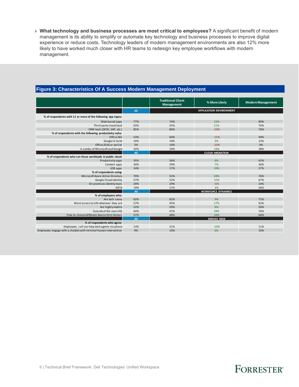› **What technology and business processes are most critical to employees?** A significant benefit of modern management is its ability to simplify or automate key technology and business processes to improve digital experience or reduce costs. Technology leaders of modern management environments are also 12% more likely to have worked much closer with HR teams to redesign key employee workflows with modern management.

|                                                                 |     | <b>Traditional Client</b> |                                |                          |
|-----------------------------------------------------------------|-----|---------------------------|--------------------------------|--------------------------|
|                                                                 |     | Management                | % More Likely                  | <b>Modern Management</b> |
|                                                                 | All |                           | <b>APPLICATION ENVIRONMENT</b> |                          |
| % of respondents with 11 or more of the following app types:    |     |                           |                                |                          |
| Web-based apps                                                  | 77% | 74%                       | 15%                            | 89%                      |
| Third-party cloud SaaS                                          | 63% | 55%                       | 21%                            | 76%                      |
| CRM tools (SFDC, SAP, etc.)                                     | 85% | 86%                       | $-10%$                         | 76%                      |
| % of respondents with the following productivity suite:         |     |                           |                                |                          |
| Office 365                                                      | 53% | 60%                       | $-11%$                         | 49%                      |
| Google G Suite                                                  | 10% | 10%                       | 3%                             | 13%                      |
| Office 2016 or earlier                                          | 3%  | 10%                       | $-10%$                         | 0%                       |
| A combo of Microsoft and Google                                 | 32% | 19%                       | 19%                            | 38%                      |
|                                                                 | All |                           | <b>CLOUD MIGRATION</b>         |                          |
| % of respondents who run these workloads in public cloud:       |     |                           |                                |                          |
| Productivity apps                                               | 35% | 36%                       | 6%                             | 42%                      |
| Content apps                                                    | 30% | 29%                       | 7%                             | 36%                      |
| LOB apps                                                        | 24% | 17%                       | 10%                            | 27%                      |
| % of respondents using:                                         |     |                           |                                |                          |
| Microsoft Azure Active Directory                                | 70% | 52%                       | 24%                            | 76%                      |
| Google Cloud Identity                                           | 57% | 52%                       | 15%                            | 67%                      |
| On-premises identity tools                                      | 29% | 29%                       | $-5%$                          | 24%                      |
| OKTA                                                            | 19% | 17%                       | 3%                             | 20%                      |
|                                                                 | All |                           | <b>WORKFORCE DYNAMICS</b>      |                          |
| % of employees who:                                             |     |                           |                                |                          |
| Are tech savvy                                                  | 62% | 62%                       | 9%                             | 71%                      |
| Want access to info wherever they are                           | 57% | 45%                       | 17%                            | 62%                      |
| Are highly mobile                                               | 52% | 50%                       | 6%                             | 56%                      |
| Outside of the main HQ                                          | 64% | 47%                       | 29%                            | 76%                      |
| Free to choose different device form factors                    | 57% | 48%                       | 16%                            | 64%                      |
|                                                                 | All |                           | <b>SERVICE DESK</b>            |                          |
| % of respondents who agree:                                     |     |                           |                                |                          |
| Employees call our help desk agents via phone                   | 13% | 21%                       | $-10%$                         | 11%                      |
| Employees engage with a chatbot with minimal human intervention | 9%  | 10%                       | 6%                             | 16%                      |

#### **Figure 3: Characteristics Of A Success Modern Management Deployment**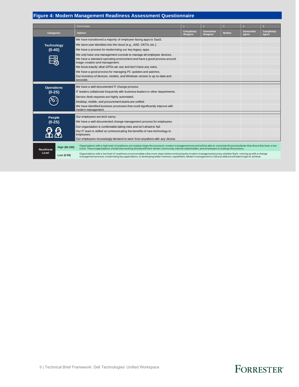### **Figure 4: Modern Management Readiness Assessment Questionnaire**

|                   |               | Point Scale                                                                                                                                                                                                                                                                                                                              |                               | $\overline{\mathbf{c}}$ | $\mathbf{3}$   |                          | $5\phantom{.}$             |  |
|-------------------|---------------|------------------------------------------------------------------------------------------------------------------------------------------------------------------------------------------------------------------------------------------------------------------------------------------------------------------------------------------|-------------------------------|-------------------------|----------------|--------------------------|----------------------------|--|
| <b>Categories</b> |               | <b>Options</b>                                                                                                                                                                                                                                                                                                                           | <b>Completely</b><br>disagree | Somewhat<br>disagree    | <b>Neither</b> | <b>Somewhat</b><br>agree | <b>Completely</b><br>agree |  |
|                   |               | We have transitioned a majority of employee-facing apps to SaaS.                                                                                                                                                                                                                                                                         |                               |                         |                |                          |                            |  |
| <b>Technology</b> |               | We store user identities into the cloud (e.g., AAD, OKTA, etc.).                                                                                                                                                                                                                                                                         |                               |                         |                |                          |                            |  |
| $(0-40)$          |               | We have a process for modernizing our key legacy apps.                                                                                                                                                                                                                                                                                   |                               |                         |                |                          |                            |  |
|                   |               | We only have one management console to manage all employee devices.                                                                                                                                                                                                                                                                      |                               |                         |                |                          |                            |  |
| Ę                 |               | We have a standard operating environment and have a good process around<br>image creation and management.                                                                                                                                                                                                                                |                               |                         |                |                          |                            |  |
|                   |               | We know exactly what GPOs we use and don't have any extra.                                                                                                                                                                                                                                                                               |                               |                         |                |                          |                            |  |
|                   |               | We have a good process for managing PC updates and patches.                                                                                                                                                                                                                                                                              |                               |                         |                |                          |                            |  |
|                   |               | Our inventory of devices, models, and Windows version is up-to-date and<br>accurate.                                                                                                                                                                                                                                                     |                               |                         |                |                          |                            |  |
| <b>Operations</b> |               | We have a well-documented IT change process.                                                                                                                                                                                                                                                                                             |                               |                         |                |                          |                            |  |
| $(0-25)$          |               | IT leaders collaborate frequently with business leaders in other departments.                                                                                                                                                                                                                                                            |                               |                         |                |                          |                            |  |
|                   |               | Service desk requests are highly automated.                                                                                                                                                                                                                                                                                              |                               |                         |                |                          |                            |  |
|                   |               | Desktop, mobile, and procurement teams are unified.                                                                                                                                                                                                                                                                                      |                               |                         |                |                          |                            |  |
|                   |               | We have identified business processes that could significantly improve with<br>modern management.                                                                                                                                                                                                                                        |                               |                         |                |                          |                            |  |
| People            |               | Our employees are tech savvy.                                                                                                                                                                                                                                                                                                            |                               |                         |                |                          |                            |  |
| $(0-25)$          |               | We have a well-documented change management process for employees.                                                                                                                                                                                                                                                                       |                               |                         |                |                          |                            |  |
|                   |               | Our organization is comfortable taking risks and isn't afraid to fail.                                                                                                                                                                                                                                                                   |                               |                         |                |                          |                            |  |
|                   |               | Our IT team is skilled at communicating the benefits of new technology to<br>employees.                                                                                                                                                                                                                                                  |                               |                         |                |                          |                            |  |
|                   |               | Our employees increasingly demand to work from anywhere with any device.                                                                                                                                                                                                                                                                 |                               |                         |                |                          |                            |  |
| <b>Readiness</b>  | High (60-100) | Organizations with a high level of readiness are ready to begin the journey to modern management now and will be able to complete the journey faster than those that have a low<br>score. These organizations should start working directly with their vendor community, internal stakeholders, and employees to undergo the process.    |                               |                         |                |                          |                            |  |
| Level             | Low (0-59)    | Organizations with a low level of readiness must complete a few more steps before embracing the modern management journey, whether that's coming up with a change<br>management process, modernizing key applications, or developing better inventory capabilities. Modern management is still possible but will take longer to achieve. |                               |                         |                |                          |                            |  |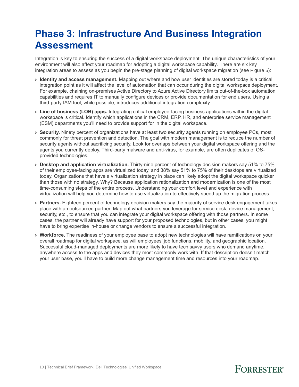## <span id="page-9-0"></span>**Phase 3: Infrastructure And Business Integration Assessment**

Integration is key to ensuring the success of a digital workspace deployment. The unique characteristics of your environment will also affect your roadmap for adopting a digital workspace capability. There are six key integration areas to assess as you begin the pre-stage planning of digital workspace migration (see Figure 5):

- › **Identity and access management.** Mapping out where and how user identities are stored today is a critical integration point as it will affect the level of automation that can occur during the digital workspace deployment. For example, chaining on-premises Active Directory to Azure Active Directory limits out-of-the-box automation capabilities and requires IT to manually configure devices or provide documentation for end users. Using a third-party IAM tool, while possible, introduces additional integration complexity.
- › **Line of business (LOB) apps.** Integrating critical employee-facing business applications within the digital workspace is critical. Identify which applications in the CRM, ERP, HR, and enterprise service management (ESM) departments you'll need to provide support for in the digital workspace.
- › **Security.** Ninety percent of organizations have at least two security agents running on employee PCs, most commonly for threat prevention and detection. The goal with modern management is to reduce the number of security agents without sacrificing security. Look for overlaps between your digital workspace offering and the agents you currently deploy. Third-party malware and anti-virus, for example, are often duplicates of OSprovided technologies.
- › **Desktop and application virtualization.** Thirty-nine percent of technology decision makers say 51% to 75% of their employee-facing apps are virtualized today, and 38% say 51% to 75% of their desktops are virtualized today. Organizations that have a virtualization strategy in place can likely adopt the digital workspace quicker than those with no strategy. Why? Because application rationalization and modernization is one of the most time-consuming steps of the entire process. Understanding your comfort level and experience with virtualization will help you determine how to use virtualization to effectively speed up the migration process.
- › **Partners.** Eighteen percent of technology decision makers say the majority of service desk engagement takes place with an outsourced partner. Map out what partners you leverage for service desk, device management, security, etc., to ensure that you can integrate your digital workspace offering with those partners. In some cases, the partner will already have support for your proposed technologies, but in other cases, you might have to bring expertise in-house or change vendors to ensure a successful integration.
- › **Workforce.** The readiness of your employee base to adopt new technologies will have ramifications on your overall roadmap for digital workspace, as will employees' job functions, mobility, and geographic location. Successful cloud-managed deployments are more likely to have tech savvy users who demand anytime, anywhere access to the apps and devices they most commonly work with. If that description doesn't match your user base, you'll have to build more change management time and resources into your roadmap.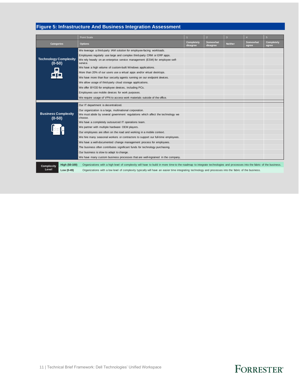### **Figure 5: Infrastructure And Business Integration Assessment**

|                                          |               | <b>Point Scale</b>                                                                                                                                                                                                                                                                                                             |                               | $\overline{2}$       | $\mathbf{3}$   |                   | 5 <sup>5</sup>             |  |  |
|------------------------------------------|---------------|--------------------------------------------------------------------------------------------------------------------------------------------------------------------------------------------------------------------------------------------------------------------------------------------------------------------------------|-------------------------------|----------------------|----------------|-------------------|----------------------------|--|--|
| <b>Categories</b>                        |               | <b>Options</b>                                                                                                                                                                                                                                                                                                                 | <b>Completely</b><br>disagree | Somewhat<br>disagree | <b>Neither</b> | Somewhat<br>agree | <b>Completely</b><br>agree |  |  |
|                                          |               | We leverage a third-party IAM solution for employee-facing workloads.                                                                                                                                                                                                                                                          |                               |                      |                |                   |                            |  |  |
|                                          |               | Employees regularly use large and complex third-party CRM or ERP apps.                                                                                                                                                                                                                                                         |                               |                      |                |                   |                            |  |  |
| <b>Technology Complexity</b><br>$(0-50)$ |               | We rely heavily on an enterprise service management (ESM) for employee self-<br>service.                                                                                                                                                                                                                                       |                               |                      |                |                   |                            |  |  |
|                                          |               | We have a high volume of custom-built Windows applications.                                                                                                                                                                                                                                                                    |                               |                      |                |                   |                            |  |  |
|                                          |               | More than 20% of our users use a virtual apps and/or virtual desktops.                                                                                                                                                                                                                                                         |                               |                      |                |                   |                            |  |  |
|                                          |               | We have more than four security agents running on our endpoint devices.                                                                                                                                                                                                                                                        |                               |                      |                |                   |                            |  |  |
|                                          |               | We allow usage of third-party cloud storage applications.                                                                                                                                                                                                                                                                      |                               |                      |                |                   |                            |  |  |
|                                          |               | We offer BYOD for employee devices, including PCs.                                                                                                                                                                                                                                                                             |                               |                      |                |                   |                            |  |  |
|                                          |               | Employees use mobile devices for work purposes.                                                                                                                                                                                                                                                                                |                               |                      |                |                   |                            |  |  |
|                                          |               | We require usage of VPN to access work materials outside of the office.                                                                                                                                                                                                                                                        |                               |                      |                |                   |                            |  |  |
|                                          |               | Our IT department is decentralized.                                                                                                                                                                                                                                                                                            |                               |                      |                |                   |                            |  |  |
|                                          |               | Our organization is a large, multinational corporation.                                                                                                                                                                                                                                                                        |                               |                      |                |                   |                            |  |  |
| <b>Business Complexity</b><br>$(0-50)$   |               | We must abide by several government regulations which affect the technology we<br>choose.                                                                                                                                                                                                                                      |                               |                      |                |                   |                            |  |  |
|                                          |               | We have a completely outsourced IT operations team.                                                                                                                                                                                                                                                                            |                               |                      |                |                   |                            |  |  |
|                                          |               | We partner with multiple hardware OEM players.                                                                                                                                                                                                                                                                                 |                               |                      |                |                   |                            |  |  |
|                                          |               | Our employees are often on the road and working in a mobile context.                                                                                                                                                                                                                                                           |                               |                      |                |                   |                            |  |  |
|                                          |               | We hire many seasonal workers or contractors to support our full-time employees.                                                                                                                                                                                                                                               |                               |                      |                |                   |                            |  |  |
|                                          |               | We have a well-documented change management process for employees.                                                                                                                                                                                                                                                             |                               |                      |                |                   |                            |  |  |
|                                          |               | The business often contributes significant funds for technology purchasing.                                                                                                                                                                                                                                                    |                               |                      |                |                   |                            |  |  |
|                                          |               | Our business is slow to adapt to change.                                                                                                                                                                                                                                                                                       |                               |                      |                |                   |                            |  |  |
|                                          |               | We have many custom business processes that are well-ingrained in the company.                                                                                                                                                                                                                                                 |                               |                      |                |                   |                            |  |  |
|                                          | High (50-100) |                                                                                                                                                                                                                                                                                                                                |                               |                      |                |                   |                            |  |  |
| Complexity<br>Level                      | Low (0-49)    | Organizations with a high level of complexity will have to build in more time to the roadmap to integrate technologies and processes into the fabric of the business.<br>Organizations with a low level of complexity typically will have an easier time integrating technology and processes into the fabric of the business. |                               |                      |                |                   |                            |  |  |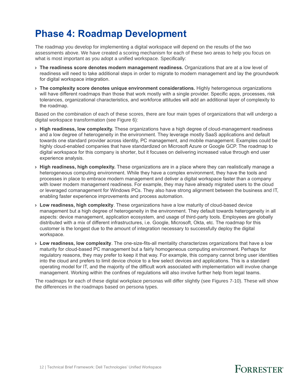## <span id="page-11-0"></span>**Phase 4: Roadmap Development**

The roadmap you develop for implementing a digital workspace will depend on the results of the two assessments above. We have created a scoring mechanism for each of these two areas to help you focus on what is most important as you adopt a unified workspace. Specifically:

- › **The readiness score denotes modern management readiness.** Organizations that are at a low level of readiness will need to take additional steps in order to migrate to modern management and lay the groundwork for digital workspace integration.
- › **The complexity score denotes unique environment considerations.** Highly heterogenous organizations will have different roadmaps than those that work mostly with a single provider. Specific apps, processes, risk tolerances, organizational characteristics, and workforce attitudes will add an additional layer of complexity to the roadmap.

Based on the combination of each of these scores, there are four main types of organizations that will undergo a digital workspace transformation (see Figure 6):

- › **High readiness, low complexity.** These organizations have a high degree of cloud-management readiness and a low degree of heterogeneity in the environment. They leverage mostly SaaS applications and default towards one standard provider across identity, PC management, and mobile management. Examples could be highly cloud-enabled companies that have standardized on Microsoft Azure or Google GCP. The roadmap to digital workspace for this company is shorter, but it focuses on delivering increased value through end user experience analysis.
- › **High readiness, high complexity.** These organizations are in a place where they can realistically manage a heterogeneous computing environment. While they have a complex environment, they have the tools and processes in place to embrace modern management and deliver a digital workspace faster than a company with lower modern management readiness. For example, they may have already migrated users to the cloud or leveraged comanagement for Windows PCs. They also have strong alignment between the business and IT, enabling faster experience improvements and process automation.
- › **Low readiness, high complexity**. These organizations have a low maturity of cloud-based device management but a high degree of heterogeneity in the environment. They default towards heterogeneity in all aspects: device management, application ecosystem, and usage of third-party tools. Employees are globally distributed with a mix of different infrastructures, i.e. Google, Microsoft, Okta, etc. The roadmap for this customer is the longest due to the amount of integration necessary to successfully deploy the digital workspace.
- › **Low readiness, low complexity**. The one-size-fits-all mentality characterizes organizations that have a low maturity for cloud-based PC management but a fairly homogeneous computing environment. Perhaps for regulatory reasons, they may prefer to keep it that way. For example, this company cannot bring user identities into the cloud and prefers to limit device choice to a few select devices and applications. This is a standard operating model for IT, and the majority of the difficult work associated with implementation will involve change management. Working within the confines of regulations will also involve further help from legal teams.

The roadmaps for each of these digital workplace personas will differ slightly (see Figures 7-10). These will show the differences in the roadmaps based on persona types.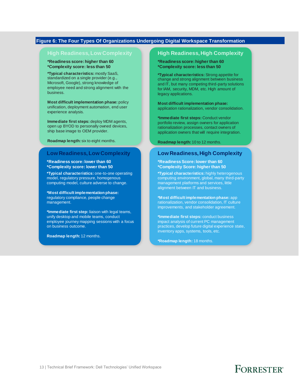#### **Figure 6: The Four Types Of Organizations Undergoing Digital Workspace Transformation**

#### **High Readiness, Low Complexity**

**\*Readiness score: higher than 60 \*Complexity score: less than 50**

**\*Typical characteristics:** mostly SaaS, standardized on a single provider (e.g., Microsoft, Google), strong knowledge of employee need and strong alignment with the business.

**Most difficult implementation phase:** policy unification, deployment automation, end user experience analysis.

**Immediate first steps:** deploy MDM agents, open up BYOD to personally owned devices, ship base image to OEM provider.

**Roadmap length:** six to eight months.

#### **Low Readiness, Low Complexity**

**\*Readiness score: lower than 60 \*Complexity score: lower than 50**

**\*Typical characteristics:** one-to-one operating model, regulatory pressure, homogenous computing model, culture adverse to change.

**\*Most difficult implementation phase:**  regulatory compliance, people change management.

**\*Immediate first step:** liaison with legal teams, unify desktop and mobile teams, conduct employee journey mapping sessions with a focus on business outcome.

**Roadmap length:** 12 months.

#### **High Readiness, High Complexity**

**\*Readiness score: higher than 60 \*Complexity score: less than 50**

**\*Typical characteristics:** Strong appetite for change and strong alignment between business and IT, but many competing third-party solutions for IAM, security, MDM, etc. High amount of legacy applications.

**Most difficult implementation phase:** application rationalization, vendor consolidation.

**\*Immediate first steps:** Conduct vendor portfolio review, assign owners for application rationalization processes, contact owners of application owners that will require integration.

**Roadmap length:** 10 to 12 months.

#### **Low Readiness, High Complexity**

**\*Readiness Score: lower than 60 \*Complexity Score: higher than 50** 

**\*Typical characteristics:** highly heterogenous computing environment, global, many third-party management platforms and services, little alignment between IT and business.

**\*Most difficult implementation phase:** app rationalization, vendor consolidation, IT culture improvements, and stakeholder agreement.

**\*Immediate first steps:** conduct business impact analysis of current PC management practices, develop future digital experience state, inventory apps, systems, tools, etc.

**\*Roadmap length:** 18 months.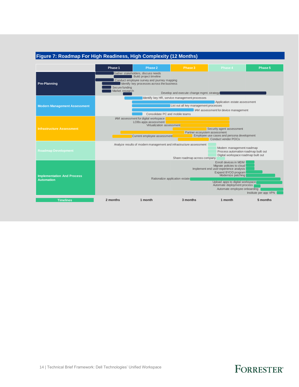#### **Figure 7: Roadmap For High Readiness, High Complexity (12 Months)**

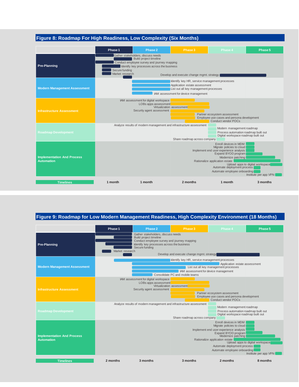### **Figure 8: Roadmap For High Readiness, Low Complexity (Six Months)**

|                                                        | Phase 1                                                                                                                                                                                                                                                                                                 | Phase 2                                                                                                                                                         | Phase 3  | Phase 4 | Phase 5  |  |  |  |  |
|--------------------------------------------------------|---------------------------------------------------------------------------------------------------------------------------------------------------------------------------------------------------------------------------------------------------------------------------------------------------------|-----------------------------------------------------------------------------------------------------------------------------------------------------------------|----------|---------|----------|--|--|--|--|
| <b>Pre-Planning</b>                                    | Gather stakeholders, discuss needs<br>Build project timeline<br>Conduct employee survey and journey mapping<br>Identify key processes across the business<br>Secure funding<br>Market research<br>Develop and execute change mgmt. strategy                                                             |                                                                                                                                                                 |          |         |          |  |  |  |  |
| <b>Modern Management Assessment</b>                    |                                                                                                                                                                                                                                                                                                         | Identify key HR, service management processes<br>Application estate assessment<br>List out all key management processes<br>IAM assessment for device management |          |         |          |  |  |  |  |
| <b>Infrastructure Assessment</b>                       | IAM assessment for digital workspace<br>LOBs apps assessment<br>Virtualization assessment<br>Security agent assessment<br>Partner ecosystem assessment<br>Employee use cases and persona development<br>Conduct vendor POCs                                                                             |                                                                                                                                                                 |          |         |          |  |  |  |  |
| <b>Roadmap Development</b>                             | Analyze results of modern management and infrastructure assessment<br>Modern management roadmap<br>Process automation roadmap built out<br>Digital workspace roadmap built out<br>Share roadmap across company                                                                                          |                                                                                                                                                                 |          |         |          |  |  |  |  |
| <b>Implementation And Process</b><br><b>Automation</b> | Enroll devices in MDM<br>Migrate policies to cloud<br>Implement end user experience analysis<br>Expand BYOD program<br>Modernize patching<br>Rationalize application estate<br>Upload apps to digital workspace<br>Automate deployment process<br>Automate employee onboarding<br>Institute per app VPN |                                                                                                                                                                 |          |         |          |  |  |  |  |
| <b>Timelines</b>                                       | 1 month                                                                                                                                                                                                                                                                                                 | 1 month                                                                                                                                                         | 2 months | 1 month | 3 months |  |  |  |  |

### **Figure 9: Roadmap for Low Modern Management Readiness, High Complexity Environment (18 Months)**

|                                                        | Phase 1                                                                                                                                                                                                                                                                                                 | Phase 2                                                                                                                                                                                            | Phase 3                      | Phase 4                                                                                                  | Phase 5  |  |  |  |
|--------------------------------------------------------|---------------------------------------------------------------------------------------------------------------------------------------------------------------------------------------------------------------------------------------------------------------------------------------------------------|----------------------------------------------------------------------------------------------------------------------------------------------------------------------------------------------------|------------------------------|----------------------------------------------------------------------------------------------------------|----------|--|--|--|
| <b>Pre-Planning</b>                                    | Gather stakeholders, discuss needs<br>Build project timeline<br>Conduct employee survey and journey mapping<br>Identify key processes across the business<br>Secure funding<br>Market research<br>Develop and execute change mgmt. strategy                                                             |                                                                                                                                                                                                    |                              |                                                                                                          |          |  |  |  |
| <b>Modern Management Assessment</b>                    |                                                                                                                                                                                                                                                                                                         | Identify key HR, service management processes<br>Application estate assessment<br>List out all key management processes<br>IAM assessment for device management<br>Consolidate PC and mobile teams |                              |                                                                                                          |          |  |  |  |
| <b>Infrastructure Assessment</b>                       |                                                                                                                                                                                                                                                                                                         | IAM assessment for digital workspace<br>LOBs apps assessment<br>Security agent assessment                                                                                                          | Virtualization assessment    | Partner ecosystem assessment<br>Employee use cases and persona development<br><b>Conduct vendor POCs</b> |          |  |  |  |
| <b>Roadmap Development</b>                             |                                                                                                                                                                                                                                                                                                         | Analyze results of modern management and infrastructure assessment                                                                                                                                 | Share roadmap across company | Modern management roadmap<br>Process automation roadmap built out<br>Digital workspace roadmap built out |          |  |  |  |
| <b>Implementation And Process</b><br><b>Automation</b> | Enroll devices in MDM<br>Migrate policies to cloud<br>Implement end user experience analysis<br>Expand BYOD program<br>Modernize patching<br>Rationalize application estate<br>Upload apps to digital workspace<br>Automate deployment process<br>Automate employee onboarding<br>Institute per app VPN |                                                                                                                                                                                                    |                              |                                                                                                          |          |  |  |  |
| <b>Timelines</b>                                       | 2 months                                                                                                                                                                                                                                                                                                | 3 months                                                                                                                                                                                           | 3 months                     | 2 months                                                                                                 | 8 months |  |  |  |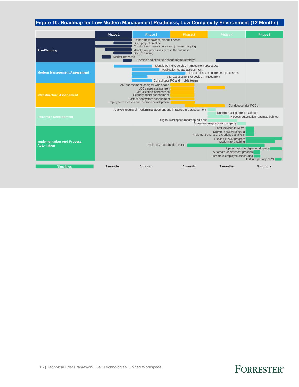### **Figure 10: Roadmap for Low Modern Management Readiness, Low Complexity Environment (12 Months)**

|                                                        | Phase 1                                                                                                                                                                                                                                                                                                 | Phase 2                                                                                                                                                                                              | Phase 3                             | Phase 4                                                   | Phase 5                              |  |  |  |  |
|--------------------------------------------------------|---------------------------------------------------------------------------------------------------------------------------------------------------------------------------------------------------------------------------------------------------------------------------------------------------------|------------------------------------------------------------------------------------------------------------------------------------------------------------------------------------------------------|-------------------------------------|-----------------------------------------------------------|--------------------------------------|--|--|--|--|
| <b>Pre-Planning</b>                                    | Gather stakeholders, discuss needs<br>Build project timeline<br>Conduct employee survey and journey mapping<br>Identify key processes across the business<br>Secure funding<br>Market research<br>Develop and execute change mgmt. strategy                                                             |                                                                                                                                                                                                      |                                     |                                                           |                                      |  |  |  |  |
| <b>Modern Management Assessment</b>                    |                                                                                                                                                                                                                                                                                                         | Identify key HR, service management processes<br>Application estate assessment<br>List out all key management processes<br>IAM assessment for device management<br>Consolidate PC and mobile teams   |                                     |                                                           |                                      |  |  |  |  |
| <b>Infrastructure Assessment</b>                       |                                                                                                                                                                                                                                                                                                         | IAM assessment for digital workspace<br>LOBs apps assessment<br>Virtualization assessment<br>Security agent assessment<br>Partner ecosystem assessment<br>Employee use cases and persona development |                                     | <b>Conduct vendor POCs</b>                                |                                      |  |  |  |  |
| <b>Roadmap Development</b>                             |                                                                                                                                                                                                                                                                                                         | Analyze results of modern management and infrastructure assessment                                                                                                                                   | Digital workspace roadmap built out | Modern management roadmap<br>Share roadmap across company | Process automation roadmap built out |  |  |  |  |
| <b>Implementation And Process</b><br><b>Automation</b> | Enroll devices in MDM<br>Migrate policies to cloud<br>Implement end user experience analysis<br>Expand BYOD program<br>Modernize patching<br>Rationalize application estate<br>Upload apps to digital workspace<br>Automate deployment process<br>Automate employee onboarding<br>Institute per app VPN |                                                                                                                                                                                                      |                                     |                                                           |                                      |  |  |  |  |
| <b>Timelines</b>                                       | 3 months                                                                                                                                                                                                                                                                                                | 1 month                                                                                                                                                                                              | 1 month                             | 2 months                                                  | 5 months                             |  |  |  |  |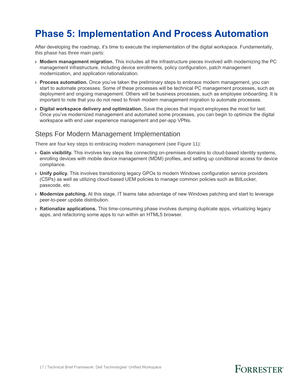## <span id="page-16-0"></span>**Phase 5: Implementation And Process Automation**

After developing the roadmap, it's time to execute the implementation of the digital workspace. Fundamentally, this phase has three main parts:

- › **Modern management migration.** This includes all the infrastructure pieces involved with modernizing the PC management infrastructure, including device enrollments, policy configuration, patch management modernization, and application rationalization.
- › **Process automation.** Once you've taken the preliminary steps to embrace modern management, you can start to automate processes. Some of these processes will be technical PC management processes, such as deployment and ongoing management. Others will be business processes, such as employee onboarding. It is important to note that you do not need to finish modern management migration to automate processes.
- › **Digital workspace delivery and optimization.** Save the pieces that impact employees the most for last. Once you've modernized management and automated some processes, you can begin to optimize the digital workspace with end user experience management and per-app VPNs.

### Steps For Modern Management Implementation

There are four key steps to embracing modern management (see Figure 11):

- › **Gain visibility.** This involves key steps like connecting on-premises domains to cloud-based identity systems, enrolling devices with mobile device management (MDM) profiles, and setting up conditional access for device compliance.
- › **Unify policy.** This involves transitioning legacy GPOs to modern Windows configuration service providers (CSPs) as well as utilizing cloud-based UEM policies to manage common policies such as BitLocker, passcode, etc.
- › **Modernize patching.** At this stage, IT teams take advantage of new Windows patching and start to leverage peer-to-peer update distribution.
- › **Rationalize applications.** This time-consuming phase involves dumping duplicate apps, virtualizing legacy apps, and refactoring some apps to run within an HTML5 browser.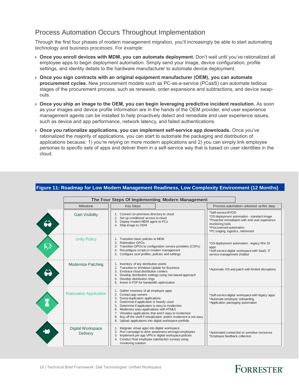### Process Automation Occurs Throughout Implementation

Through the first four phases of modern management migration, you'll increasingly be able to start automating technology and business processes. For example:

- › **Once you enroll devices with MDM, you can automate deployment.** Don't wait until you've rationalized all employee apps to begin deployment automation. Simply send your image, device configuration, profile settings, and identity details to the hardware manufacturer to automate device deployment.
- › **Once you sign contracts with an original equipment manufacturer (OEM), you can automate procurement cycles.** New procurement models such as PC-as-a-service (PCaaS) can automate tedious stages of the procurement process, such as renewals, order expansions and subtractions, and device swapouts.
- › **Once you ship an image to the OEM, you can begin leveraging predictive incident resolution.** As soon as your images and device profile information are in the hands of the OEM provider, end user experience management agents can be installed to help proactively detect and remediate end user experience issues, such as device and app performance, network latency, and failed authentications.
- › **Once you rationalize applications, you can implement self-service app downloads.** Once you've rationalized the majority of applications, you can start to automate the packaging and distribution of applications because: 1) you're relying on more modern applications and 2) you can simply link employee personas to specific sets of apps and deliver them in a self-service way that is based on user identities in the cloud.

| The Four Steps Of Implementing Modern Management |                                                                                                                                                                                                                                                                                                                                                                                                                                                                             |                                                                                                         |                                                                                               |
|--------------------------------------------------|-----------------------------------------------------------------------------------------------------------------------------------------------------------------------------------------------------------------------------------------------------------------------------------------------------------------------------------------------------------------------------------------------------------------------------------------------------------------------------|---------------------------------------------------------------------------------------------------------|-----------------------------------------------------------------------------------------------|
| Milestone                                        | <b>Key Steps</b>                                                                                                                                                                                                                                                                                                                                                                                                                                                            |                                                                                                         | Process automation unlocked at this step:                                                     |
| <b>Gain Visibility</b>                           | 1. Connect on-premises directory to cloud<br>2. Set up conditional access in cloud<br>Deploy modern MDM agent to PCs<br>3.<br>4. Ship image to OEM                                                                                                                                                                                                                                                                                                                          | *Self-service BYOD<br>monitoring tools<br>*Procurement automation<br>*PC staging, logistics, retirement | *OS deployment automation - standard image<br>*Proactive remediation with end user experience |
| <b>Unify Policy</b>                              | 1. Transition basic policies to MDM<br>Rationalize GPOs<br>2.<br>Transition GPOs to configuration service providers (CSPs)<br>3.<br>Reconfigure scripts in modern management<br>4.<br>Configure user profiles, policies and settings<br>5.                                                                                                                                                                                                                                  | apps<br>service management chatbot                                                                      | *OS deployment automation - legacy Win 32<br>*Self-service digital workspace with SaaS, IT    |
| <b>Modernize Patching</b>                        | Inventory of key distribution points<br>Transition to Windows Update for Business<br>2.<br>Embrace cloud distribution centers<br>3.<br>Develop distribution settings using risk-based approach<br>4.<br>Develop distribution rings<br>5.<br>Invest in P2P for bandwidth optimization<br>6.                                                                                                                                                                                  |                                                                                                         | *Automatic OS and patch with limited disruptions                                              |
| <b>Rationalize Application</b>                   | Gather inventory of all employee apps<br>1.<br>2.<br>Contact app owners<br>Dump duplication applications<br>3.<br>Determine if application is heavily used<br>4.<br>Determine if application is easy to modernize<br>5.<br>Modernize easy applications with HTML5<br>6.<br>Virtualize applications that aren't easy to modernize<br>7.<br>Buy off the shelf if virtualization and/or modernize is not easy<br>8.<br>9. Upload applications into digital workspace portfolio | *Automate employee onboarding<br>*Application packaging automation                                      | *Self-service digital workspace with legacy apps                                              |
| <b>Digital Workspace</b><br>Delivery             | Integrate virtual apps into digital workspace<br>2. Run campaign to drive awareness amongst employees<br>Implement per app VPN in digital workspace policies<br>3.<br>4. Conduct final employee satisfaction surveys using<br>monitoring solution                                                                                                                                                                                                                           | *Employee feedback collection                                                                           | *Automated connection to sensitive resources                                                  |

#### **Figure 11: Roadmap for Low Modern Management Readiness, Low Complexity Environment (12 Months)**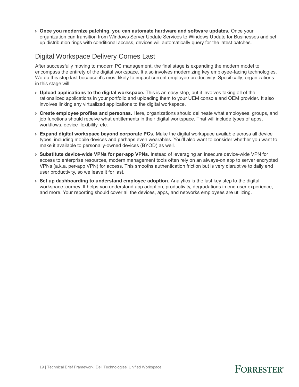› **Once you modernize patching, you can automate hardware and software updates.** Once your organization can transition from Windows Server Update Services to Windows Update for Businesses and set up distribution rings with conditional access, devices will automatically query for the latest patches.

### Digital Workspace Delivery Comes Last

After successfully moving to modern PC management, the final stage is expanding the modern model to encompass the entirety of the digital workspace. It also involves modernizing key employee-facing technologies. We do this step last because it's most likely to impact current employee productivity. Specifically, organizations in this stage will:

- › **Upload applications to the digital workspace.** This is an easy step, but it involves taking all of the rationalized applications in your portfolio and uploading them to your UEM console and OEM provider. It also involves linking any virtualized applications to the digital workspace.
- › **Create employee profiles and personas.** Here, organizations should delineate what employees, groups, and job functions should receive what entitlements in their digital workspace. That will include types of apps, workflows, device flexibility, etc.
- › **Expand digital workspace beyond corporate PCs.** Make the digital workspace available across all device types, including mobile devices and perhaps even wearables. You'll also want to consider whether you want to make it available to personally-owned devices (BYOD) as well.
- › **Substitute device-wide VPNs for per-app VPNs.** Instead of leveraging an insecure device-wide VPN for access to enterprise resources, modern management tools often rely on an always-on app to server encrypted VPNs (a.k.a. per-app VPN) for access. This smooths authentication friction but is very disruptive to daily end user productivity, so we leave it for last.
- › **Set up dashboarding to understand employee adoption.** Analytics is the last key step to the digital workspace journey. It helps you understand app adoption, productivity, degradations in end user experience, and more. Your reporting should cover all the devices, apps, and networks employees are utilizing.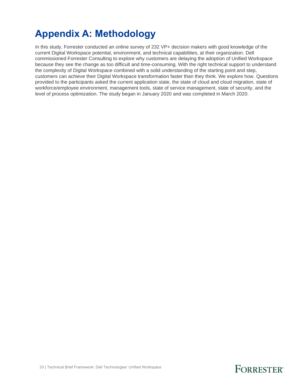## <span id="page-19-0"></span>**Appendix A: Methodology**

In this study, Forrester conducted an online survey of 232 VP+ decision makers with good knowledge of the current Digital Workspace potential, environment, and technical capabilities, at their organization. Dell commissioned Forrester Consulting to explore why customers are delaying the adoption of Unified Workspace because they see the change as too difficult and time-consuming. With the right technical support to understand the complexity of Digital Workspace combined with a solid understanding of the starting point and step, customers can achieve their Digital Workspace transformation faster than they think. We explore how. Questions provided to the participants asked the current application state, the state of cloud and cloud migration, state of workforce/employee environment, management tools, state of service management, state of security, and the level of process optimization. The study began in January 2020 and was completed in March 2020.